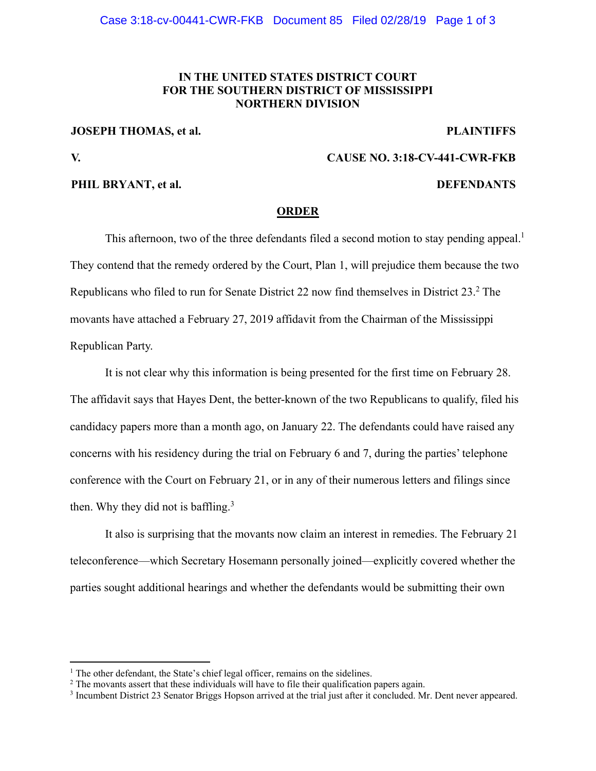### **IN THE UNITED STATES DISTRICT COURT FOR THE SOUTHERN DISTRICT OF MISSISSIPPI NORTHERN DIVISION**

#### **JOSEPH THOMAS, et al.** PLAINTIFFS

 $\overline{a}$ 

# **V. CAUSE NO. 3:18-CV-441-CWR-FKB**

#### **PHIL BRYANT, et al. DEFENDANTS**

### **ORDER**

This afternoon, two of the three defendants filed a second motion to stay pending appeal.<sup>1</sup> They contend that the remedy ordered by the Court, Plan 1, will prejudice them because the two Republicans who filed to run for Senate District 22 now find themselves in District  $23.^2$  The movants have attached a February 27, 2019 affidavit from the Chairman of the Mississippi Republican Party.

It is not clear why this information is being presented for the first time on February 28. The affidavit says that Hayes Dent, the better-known of the two Republicans to qualify, filed his candidacy papers more than a month ago, on January 22. The defendants could have raised any concerns with his residency during the trial on February 6 and 7, during the parties' telephone conference with the Court on February 21, or in any of their numerous letters and filings since then. Why they did not is baffling. $3$ 

It also is surprising that the movants now claim an interest in remedies. The February 21 teleconference—which Secretary Hosemann personally joined—explicitly covered whether the parties sought additional hearings and whether the defendants would be submitting their own

<sup>&</sup>lt;sup>1</sup> The other defendant, the State's chief legal officer, remains on the sidelines.<br><sup>2</sup> The movents assert that these individuals will have to file their qualification.

<sup>&</sup>lt;sup>2</sup> The movants assert that these individuals will have to file their qualification papers again.

<sup>3</sup> Incumbent District 23 Senator Briggs Hopson arrived at the trial just after it concluded. Mr. Dent never appeared.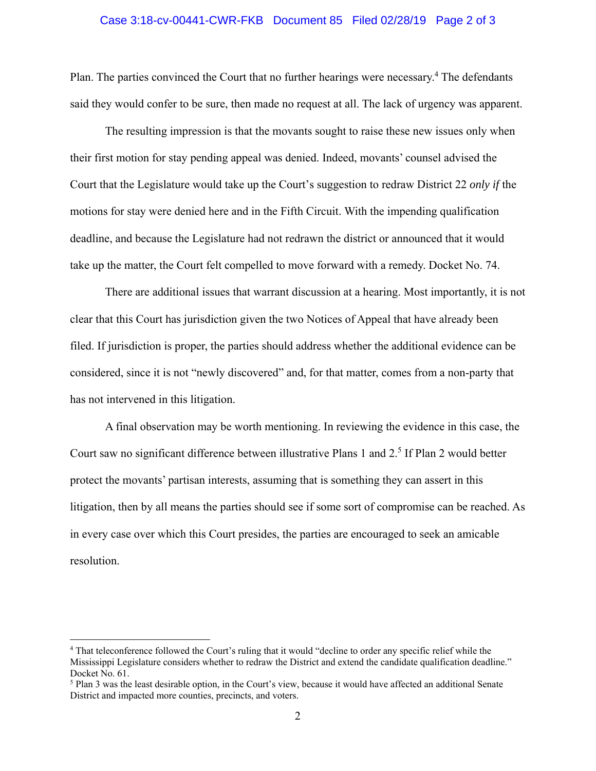#### Case 3:18-cv-00441-CWR-FKB Document 85 Filed 02/28/19 Page 2 of 3

Plan. The parties convinced the Court that no further hearings were necessary.<sup>4</sup> The defendants said they would confer to be sure, then made no request at all. The lack of urgency was apparent.

The resulting impression is that the movants sought to raise these new issues only when their first motion for stay pending appeal was denied. Indeed, movants' counsel advised the Court that the Legislature would take up the Court's suggestion to redraw District 22 *only if* the motions for stay were denied here and in the Fifth Circuit. With the impending qualification deadline, and because the Legislature had not redrawn the district or announced that it would take up the matter, the Court felt compelled to move forward with a remedy. Docket No. 74.

There are additional issues that warrant discussion at a hearing. Most importantly, it is not clear that this Court has jurisdiction given the two Notices of Appeal that have already been filed. If jurisdiction is proper, the parties should address whether the additional evidence can be considered, since it is not "newly discovered" and, for that matter, comes from a non-party that has not intervened in this litigation.

A final observation may be worth mentioning. In reviewing the evidence in this case, the Court saw no significant difference between illustrative Plans 1 and 2.<sup>5</sup> If Plan 2 would better protect the movants' partisan interests, assuming that is something they can assert in this litigation, then by all means the parties should see if some sort of compromise can be reached. As in every case over which this Court presides, the parties are encouraged to seek an amicable resolution.

 $\overline{a}$ 

<sup>&</sup>lt;sup>4</sup> That teleconference followed the Court's ruling that it would "decline to order any specific relief while the Mississippi Legislature considers whether to redraw the District and extend the candidate qualification deadline." Docket No. 61.

<sup>&</sup>lt;sup>5</sup> Plan 3 was the least desirable option, in the Court's view, because it would have affected an additional Senate District and impacted more counties, precincts, and voters.